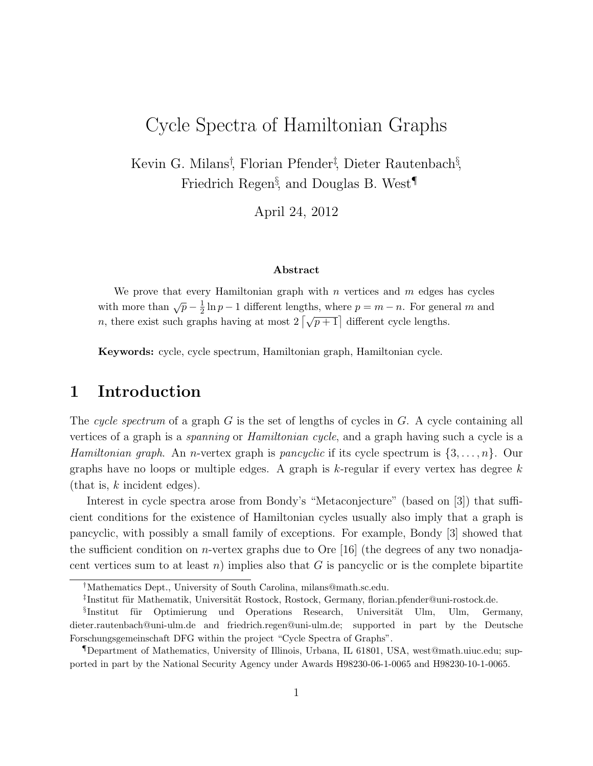## Cycle Spectra of Hamiltonian Graphs

Kevin G. Milans<sup>†</sup>, Florian Pfender<sup>†</sup>, Dieter Rautenbach<sup>§</sup>, Friedrich Regen<sup>§</sup>, and Douglas B. West<sup>¶</sup>

April 24, 2012

## Abstract

We prove that every Hamiltonian graph with  $n$  vertices and  $m$  edges has cycles with more than  $\sqrt{p} - \frac{1}{2}$  $\frac{1}{2} \ln p - 1$  different lengths, where  $p = m - n$ . For general m and n, there exist such graphs having at most  $2\left[\sqrt{p+1}\right]$  different cycle lengths.

Keywords: cycle, cycle spectrum, Hamiltonian graph, Hamiltonian cycle.

## 1 Introduction

The cycle spectrum of a graph G is the set of lengths of cycles in G. A cycle containing all vertices of a graph is a spanning or Hamiltonian cycle, and a graph having such a cycle is a *Hamiltonian graph.* An *n*-vertex graph is *pancyclic* if its cycle spectrum is  $\{3,\ldots,n\}$ . Our graphs have no loops or multiple edges. A graph is  $k$ -regular if every vertex has degree  $k$ (that is,  $k$  incident edges).

Interest in cycle spectra arose from Bondy's "Metaconjecture" (based on [3]) that sufficient conditions for the existence of Hamiltonian cycles usually also imply that a graph is pancyclic, with possibly a small family of exceptions. For example, Bondy [3] showed that the sufficient condition on *n*-vertex graphs due to Ore [16] (the degrees of any two nonadjacent vertices sum to at least n) implies also that  $G$  is pancyclic or is the complete bipartite

<sup>†</sup>Mathematics Dept., University of South Carolina, milans@math.sc.edu.

<sup>&</sup>lt;sup>‡</sup>Institut für Mathematik, Universität Rostock, Rostock, Germany, florian.pfender@uni-rostock.de.

<sup>&</sup>lt;sup>§</sup>Institut für Optimierung und Operations Research, Universität Ulm, Ulm, Germany, dieter.rautenbach@uni-ulm.de and friedrich.regen@uni-ulm.de; supported in part by the Deutsche Forschungsgemeinschaft DFG within the project "Cycle Spectra of Graphs".

<sup>¶</sup>Department of Mathematics, University of Illinois, Urbana, IL 61801, USA, west@math.uiuc.edu; supported in part by the National Security Agency under Awards H98230-06-1-0065 and H98230-10-1-0065.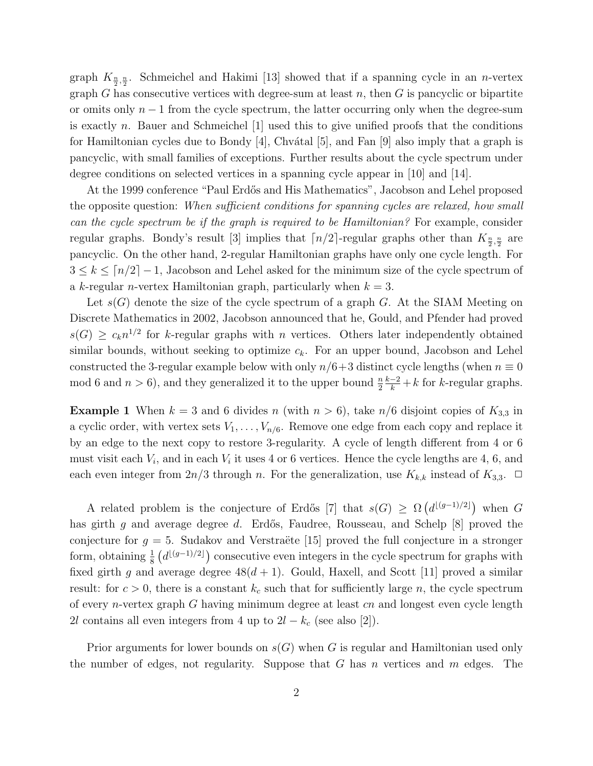graph  $K_{\frac{n}{2},\frac{n}{2}}$ . Schmeichel and Hakimi [13] showed that if a spanning cycle in an *n*-vertex graph G has consecutive vertices with degree-sum at least  $n$ , then G is pancyclic or bipartite or omits only  $n-1$  from the cycle spectrum, the latter occurring only when the degree-sum is exactly n. Bauer and Schmeichel [1] used this to give unified proofs that the conditions for Hamiltonian cycles due to Bondy [4], Chvátal [5], and Fan [9] also imply that a graph is pancyclic, with small families of exceptions. Further results about the cycle spectrum under degree conditions on selected vertices in a spanning cycle appear in [10] and [14].

At the 1999 conference "Paul Erdős and His Mathematics", Jacobson and Lehel proposed the opposite question: When sufficient conditions for spanning cycles are relaxed, how small can the cycle spectrum be if the graph is required to be Hamiltonian? For example, consider regular graphs. Bondy's result [3] implies that  $\lceil n/2 \rceil$ -regular graphs other than  $K_{\frac{n}{2},\frac{n}{2}}$  are pancyclic. On the other hand, 2-regular Hamiltonian graphs have only one cycle length. For  $3 \leq k \leq \lceil n/2 \rceil - 1$ , Jacobson and Lehel asked for the minimum size of the cycle spectrum of a k-regular *n*-vertex Hamiltonian graph, particularly when  $k = 3$ .

Let  $s(G)$  denote the size of the cycle spectrum of a graph G. At the SIAM Meeting on Discrete Mathematics in 2002, Jacobson announced that he, Gould, and Pfender had proved  $s(G) \geq c_k n^{1/2}$  for k-regular graphs with n vertices. Others later independently obtained similar bounds, without seeking to optimize  $c_k$ . For an upper bound, Jacobson and Lehel constructed the 3-regular example below with only  $n/6+3$  distinct cycle lengths (when  $n \equiv 0$ mod 6 and  $n > 6$ ), and they generalized it to the upper bound  $\frac{n}{2}$  $\frac{k-2}{k} + k$  for k-regular graphs.

**Example 1** When  $k = 3$  and 6 divides n (with  $n > 6$ ), take  $n/6$  disjoint copies of  $K_{3,3}$  in a cyclic order, with vertex sets  $V_1, \ldots, V_{n/6}$ . Remove one edge from each copy and replace it by an edge to the next copy to restore 3-regularity. A cycle of length different from 4 or 6 must visit each  $V_i$ , and in each  $V_i$  it uses 4 or 6 vertices. Hence the cycle lengths are 4, 6, and each even integer from  $2n/3$  through n. For the generalization, use  $K_{k,k}$  instead of  $K_{3,3}$ .  $\Box$ 

A related problem is the conjecture of Erdős [7] that  $s(G) \geq \Omega\left(d^{\lfloor (g-1)/2 \rfloor}\right)$  when G has girth g and average degree d. Erdős, Faudree, Rousseau, and Schelp  $[8]$  proved the conjecture for  $g = 5$ . Sudakov and Verstraëte [15] proved the full conjecture in a stronger form, obtaining  $\frac{1}{8}$   $(d^{\lfloor (g-1)/2 \rfloor})$  consecutive even integers in the cycle spectrum for graphs with fixed girth g and average degree  $48(d+1)$ . Gould, Haxell, and Scott [11] proved a similar result: for  $c > 0$ , there is a constant  $k_c$  such that for sufficiently large n, the cycle spectrum of every n-vertex graph G having minimum degree at least cn and longest even cycle length 2l contains all even integers from 4 up to  $2l - k_c$  (see also [2]).

Prior arguments for lower bounds on  $s(G)$  when G is regular and Hamiltonian used only the number of edges, not regularity. Suppose that  $G$  has n vertices and  $m$  edges. The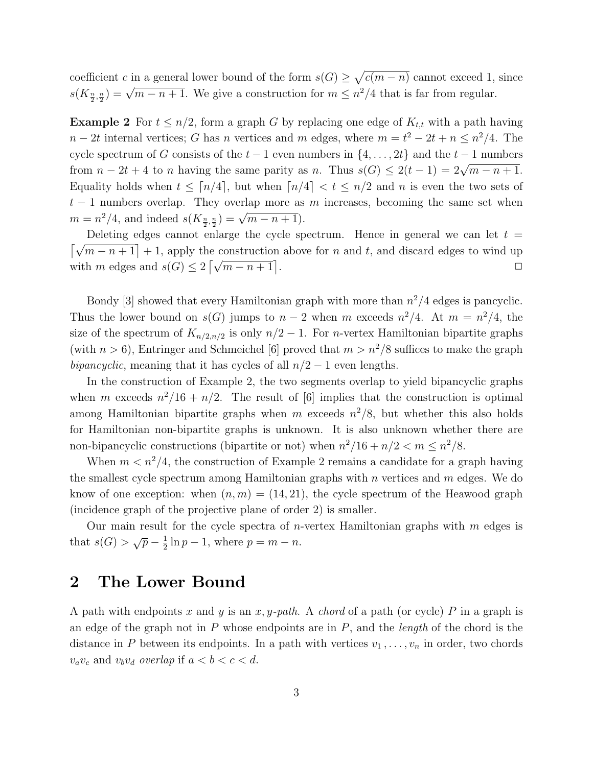coefficient c in a general lower bound of the form  $s(G) \geq \sqrt{c(m-n)}$  cannot exceed 1, since  $s(K_{\frac{n}{2},\frac{n}{2}})=\sqrt{m-n+1}$ . We give a construction for  $m \leq n^2/4$  that is far from regular.

**Example 2** For  $t \leq n/2$ , form a graph G by replacing one edge of  $K_{t,t}$  with a path having  $n-2t$  internal vertices; G has n vertices and m edges, where  $m=t^2-2t+n \leq n^2/4$ . The cycle spectrum of G consists of the  $t - 1$  even numbers in  $\{4, \ldots, 2t\}$  and the  $t - 1$  numbers from  $n - 2t + 4$  to n having the same parity as n. Thus  $s(G) \leq 2(t - 1) = 2\sqrt{m - n + 1}$ . Equality holds when  $t \leq \lceil n/4 \rceil$ , but when  $\lceil n/4 \rceil < t \leq n/2$  and n is even the two sets of  $t-1$  numbers overlap. They overlap more as m increases, becoming the same set when  $m = n^2/4$ , and indeed  $s(K_{\frac{n}{2}, \frac{n}{2}}) = \sqrt{m-n+1}$ .

Deleting edges cannot enlarge the cycle spectrum. Hence in general we can let  $t =$  $\lfloor \sqrt{m-n+1} \rfloor + 1$ , apply the construction above for n and t, and discard edges to wind up with m edges and  $s(G) \leq 2 \left[ \sqrt{m-n+1} \right]$ . ✷

Bondy [3] showed that every Hamiltonian graph with more than  $n^2/4$  edges is pancyclic. Thus the lower bound on  $s(G)$  jumps to  $n-2$  when m exceeds  $n^2/4$ . At  $m = n^2/4$ , the size of the spectrum of  $K_{n/2,n/2}$  is only  $n/2 - 1$ . For *n*-vertex Hamiltonian bipartite graphs (with  $n > 6$ ), Entringer and Schmeichel [6] proved that  $m > n^2/8$  suffices to make the graph bipancyclic, meaning that it has cycles of all  $n/2 - 1$  even lengths.

In the construction of Example 2, the two segments overlap to yield bipancyclic graphs when m exceeds  $n^2/16 + n/2$ . The result of [6] implies that the construction is optimal among Hamiltonian bipartite graphs when m exceeds  $n^2/8$ , but whether this also holds for Hamiltonian non-bipartite graphs is unknown. It is also unknown whether there are non-bipancyclic constructions (bipartite or not) when  $n^2/16 + n/2 < m \leq n^2/8$ .

When  $m < n^2/4$ , the construction of Example 2 remains a candidate for a graph having the smallest cycle spectrum among Hamiltonian graphs with  $n$  vertices and  $m$  edges. We do know of one exception: when  $(n,m) = (14, 21)$ , the cycle spectrum of the Heawood graph (incidence graph of the projective plane of order 2) is smaller.

Our main result for the cycle spectra of *n*-vertex Hamiltonian graphs with  $m$  edges is that  $s(G) > \sqrt{p} - \frac{1}{2}$  $\frac{1}{2} \ln p - 1$ , where  $p = m - n$ .

## 2 The Lower Bound

A path with endpoints x and y is an x, y-path. A chord of a path (or cycle) P in a graph is an edge of the graph not in  $P$  whose endpoints are in  $P$ , and the *length* of the chord is the distance in P between its endpoints. In a path with vertices  $v_1, \ldots, v_n$  in order, two chords  $v_a v_c$  and  $v_b v_d$  overlap if  $a < b < c < d$ .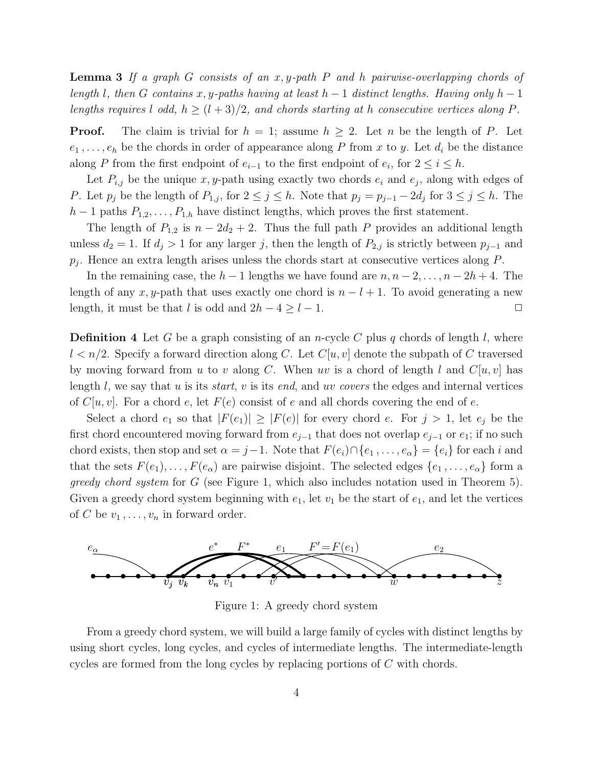**Lemma 3** If a graph G consists of an x, y-path P and h pairwise-overlapping chords of length l, then G contains x, y-paths having at least  $h-1$  distinct lengths. Having only  $h-1$ lengths requires l odd,  $h \ge (l+3)/2$ , and chords starting at h consecutive vertices along P.

**Proof.** The claim is trivial for  $h = 1$ ; assume  $h \geq 2$ . Let n be the length of P. Let  $e_1, \ldots, e_h$  be the chords in order of appearance along P from x to y. Let  $d_i$  be the distance along P from the first endpoint of  $e_{i-1}$  to the first endpoint of  $e_i$ , for  $2 \le i \le h$ .

Let  $P_{i,j}$  be the unique x, y-path using exactly two chords  $e_i$  and  $e_j$ , along with edges of P. Let  $p_j$  be the length of  $P_{1,j}$ , for  $2 \le j \le h$ . Note that  $p_j = p_{j-1} - 2d_j$  for  $3 \le j \le h$ . The  $h-1$  paths  $P_{1,2},\ldots,P_{1,h}$  have distinct lengths, which proves the first statement.

The length of  $P_{1,2}$  is  $n - 2d_2 + 2$ . Thus the full path P provides an additional length unless  $d_2 = 1$ . If  $d_j > 1$  for any larger j, then the length of  $P_{2,j}$  is strictly between  $p_{j-1}$  and  $p_j$ . Hence an extra length arises unless the chords start at consecutive vertices along  $P$ .

In the remaining case, the  $h-1$  lengths we have found are  $n, n-2, \ldots, n-2h+4$ . The length of any x, y-path that uses exactly one chord is  $n - l + 1$ . To avoid generating a new length, it must be that l is odd and  $2h - 4 \geq l - 1$ .  $\Box$ 

**Definition 4** Let G be a graph consisting of an *n*-cycle C plus q chords of length l, where  $l < n/2$ . Specify a forward direction along C. Let  $C[u, v]$  denote the subpath of C traversed by moving forward from u to v along C. When uv is a chord of length l and  $C[u,v]$  has length l, we say that u is its *start*, v is its end, and uv covers the edges and internal vertices of  $C[u, v]$ . For a chord e, let  $F(e)$  consist of e and all chords covering the end of e.

Select a chord  $e_1$  so that  $|F(e_1)| \geq |F(e)|$  for every chord e. For  $j > 1$ , let  $e_j$  be the first chord encountered moving forward from  $e_{j-1}$  that does not overlap  $e_{j-1}$  or  $e_1$ ; if no such chord exists, then stop and set  $\alpha = j-1$ . Note that  $F(e_i) \cap \{e_1, \ldots, e_\alpha\} = \{e_i\}$  for each i and that the sets  $F(e_1),..., F(e_\alpha)$  are pairwise disjoint. The selected edges  $\{e_1,...,e_\alpha\}$  form a greedy chord system for G (see Figure 1, which also includes notation used in Theorem 5). Given a greedy chord system beginning with  $e_1$ , let  $v_1$  be the start of  $e_1$ , and let the vertices of C be  $v_1, \ldots, v_n$  in forward order.



Figure 1: A greedy chord system

From a greedy chord system, we will build a large family of cycles with distinct lengths by using short cycles, long cycles, and cycles of intermediate lengths. The intermediate-length cycles are formed from the long cycles by replacing portions of C with chords.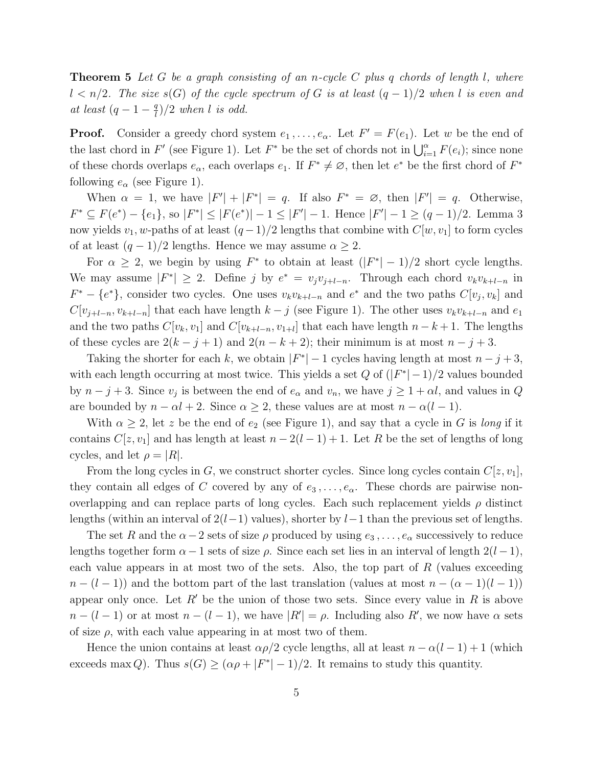**Theorem 5** Let G be a graph consisting of an n-cycle C plus q chords of length l, where  $l < n/2$ . The size s(G) of the cycle spectrum of G is at least  $(q-1)/2$  when l is even and at least  $(q-1-\frac{q}{l})$  $\frac{q}{l})/2$  when l is odd.

**Proof.** Consider a greedy chord system  $e_1, \ldots, e_\alpha$ . Let  $F' = F(e_1)$ . Let w be the end of the last chord in  $F'$  (see Figure 1). Let  $F^*$  be the set of chords not in  $\bigcup_{i=1}^{\alpha} F(e_i)$ ; since none of these chords overlaps  $e_{\alpha}$ , each overlaps  $e_1$ . If  $F^* \neq \emptyset$ , then let  $e^*$  be the first chord of  $F^*$ following  $e_{\alpha}$  (see Figure 1).

When  $\alpha = 1$ , we have  $|F'| + |F^*| = q$ . If also  $F^* = \emptyset$ , then  $|F'| = q$ . Otherwise,  $F^* \subseteq F(e^*) - \{e_1\}$ , so  $|F^*| \leq |F(e^*)| - 1 \leq |F'| - 1$ . Hence  $|F'| - 1 \geq (q - 1)/2$ . Lemma 3 now yields  $v_1, w$ -paths of at least  $(q-1)/2$  lengths that combine with  $C[w, v_1]$  to form cycles of at least  $(q-1)/2$  lengths. Hence we may assume  $\alpha \geq 2$ .

For  $\alpha \geq 2$ , we begin by using  $F^*$  to obtain at least  $(|F^*| - 1)/2$  short cycle lengths. We may assume  $|F^*| \geq 2$ . Define j by  $e^* = v_j v_{j+l-n}$ . Through each chord  $v_k v_{k+l-n}$  in  $F^* - \{e^*\}$ , consider two cycles. One uses  $v_k v_{k+l-n}$  and  $e^*$  and the two paths  $C[v_j, v_k]$  and  $C[v_{j+l-n},v_{k+l-n}]$  that each have length  $k-j$  (see Figure 1). The other uses  $v_kv_{k+l-n}$  and  $e_1$ and the two paths  $C[v_k, v_1]$  and  $C[v_{k+l-n}, v_{1+l}]$  that each have length  $n - k + 1$ . The lengths of these cycles are  $2(k - j + 1)$  and  $2(n - k + 2)$ ; their minimum is at most  $n - j + 3$ .

Taking the shorter for each k, we obtain  $|F^*| - 1$  cycles having length at most  $n - j + 3$ , with each length occurring at most twice. This yields a set  $Q$  of  $(|F^*| - 1)/2$  values bounded by  $n - j + 3$ . Since  $v_j$  is between the end of  $e_\alpha$  and  $v_n$ , we have  $j \geq 1 + \alpha l$ , and values in Q are bounded by  $n - \alpha l + 2$ . Since  $\alpha \geq 2$ , these values are at most  $n - \alpha(l - 1)$ .

With  $\alpha \geq 2$ , let z be the end of  $e_2$  (see Figure 1), and say that a cycle in G is long if it contains  $C[z,v_1]$  and has length at least  $n-2(l-1)+1$ . Let R be the set of lengths of long cycles, and let  $\rho = |R|$ .

From the long cycles in G, we construct shorter cycles. Since long cycles contain  $C[z,v_1]$ , they contain all edges of C covered by any of  $e_3, \ldots, e_\alpha$ . These chords are pairwise nonoverlapping and can replace parts of long cycles. Each such replacement yields  $\rho$  distinct lengths (within an interval of  $2(l-1)$  values), shorter by  $l-1$  than the previous set of lengths.

The set R and the  $\alpha-2$  sets of size  $\rho$  produced by using  $e_3, \ldots, e_\alpha$  successively to reduce lengths together form  $\alpha - 1$  sets of size  $\rho$ . Since each set lies in an interval of length  $2(l-1)$ , each value appears in at most two of the sets. Also, the top part of  $R$  (values exceeding  $n-(l-1)$  and the bottom part of the last translation (values at most  $n-(\alpha-1)(l-1)$ ) appear only once. Let  $R'$  be the union of those two sets. Since every value in R is above  $n - (l - 1)$  or at most  $n - (l - 1)$ , we have  $|R'| = \rho$ . Including also  $R'$ , we now have  $\alpha$  sets of size  $\rho$ , with each value appearing in at most two of them.

Hence the union contains at least  $\alpha \rho/2$  cycle lengths, all at least  $n - \alpha(l - 1) + 1$  (which exceeds max Q). Thus  $s(G) \geq (\alpha \rho + |F^*| - 1)/2$ . It remains to study this quantity.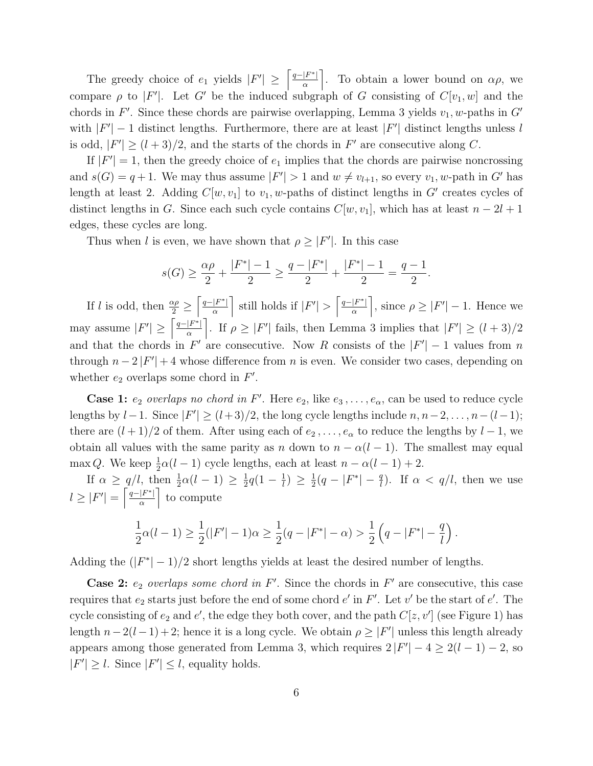The greedy choice of  $e_1$  yields  $|F'| \geq \left\lceil \frac{q-|F^*|}{\alpha} \right\rceil$  $\left\lfloor \frac{F^*}{\alpha} \right\rfloor$ . To obtain a lower bound on  $\alpha \rho$ , we compare  $\rho$  to  $|F'|$ . Let G' be the induced subgraph of G consisting of  $C[v_1, w]$  and the chords in  $F'$ . Since these chords are pairwise overlapping, Lemma 3 yields  $v_1, w$ -paths in  $G'$ with  $|F'|-1$  distinct lengths. Furthermore, there are at least  $|F'|$  distinct lengths unless l is odd,  $|F'| \ge (l+3)/2$ , and the starts of the chords in  $F'$  are consecutive along C.

If  $|F'| = 1$ , then the greedy choice of  $e_1$  implies that the chords are pairwise noncrossing and  $s(G) = q + 1$ . We may thus assume  $|F'| > 1$  and  $w \neq v_{l+1}$ , so every  $v_1, w$ -path in G' has length at least 2. Adding  $C[w, v_1]$  to  $v_1, w$ -paths of distinct lengths in G' creates cycles of distinct lengths in G. Since each such cycle contains  $C[w, v_1]$ , which has at least  $n - 2l + 1$ edges, these cycles are long.

Thus when l is even, we have shown that  $\rho \geq |F'|$ . In this case

$$
s(G) \ge \frac{\alpha \rho}{2} + \frac{|F^*| - 1}{2} \ge \frac{q - |F^*|}{2} + \frac{|F^*| - 1}{2} = \frac{q - 1}{2}.
$$

If l is odd, then  $\frac{\alpha \rho}{2} \geq$  $\lceil \frac{q-|F^*|}{ } \rceil$  $\frac{|F^*|}{\alpha}$  still holds if  $|F'| > \left\lceil \frac{q-|F^*|}{\alpha} \right\rceil$  $\left| \frac{F^*}{\alpha} \right|$ , since  $\rho \geq |F'| - 1$ . Hence we may assume  $|F'| \geq \left\lceil \frac{q-|F^*|}{\alpha} \right\rceil$  $\left| \frac{F^*}{\alpha} \right|$ . If  $\rho \geq |F'|$  fails, then Lemma 3 implies that  $|F'| \geq (l+3)/2$ and that the chords in  $F'$  are consecutive. Now R consists of the  $|F'| - 1$  values from n through  $n - 2|F'| + 4$  whose difference from n is even. We consider two cases, depending on whether  $e_2$  overlaps some chord in  $F'$ .

**Case 1:**  $e_2$  overlaps no chord in F'. Here  $e_2$ , like  $e_3, \ldots, e_\alpha$ , can be used to reduce cycle lengths by  $l-1$ . Since  $|F'| \ge (l+3)/2$ , the long cycle lengths include  $n, n-2, \ldots, n-(l-1)$ ; there are  $(l+1)/2$  of them. After using each of  $e_2, \ldots, e_\alpha$  to reduce the lengths by  $l-1$ , we obtain all values with the same parity as n down to  $n - \alpha(l - 1)$ . The smallest may equal max Q. We keep  $\frac{1}{2}\alpha(l-1)$  cycle lengths, each at least  $n - \alpha(l-1) + 2$ .

If  $\alpha \geq q/l$ , then  $\frac{1}{2}\alpha(l-1) \geq \frac{1}{2}$  $\frac{1}{2}q(1-\frac{1}{l})$  $\frac{1}{l}$ )  $\geq \frac{1}{2}$  $\frac{1}{2}(q - |F^*| - \frac{q}{l}).$  If  $\alpha < q/l$ , then we use  $l \geq |F'| = \left\lceil \frac{q-|F^*|}{\alpha} \right\rceil$  $\frac{|F^*|}{\alpha}$  to compute

$$
\frac{1}{2}\alpha (l-1) \geq \frac{1}{2}(|F'|-1)\alpha \geq \frac{1}{2}(q-|F^*|-\alpha) > \frac{1}{2}\left(q-|F^*|-\frac{q}{l}\right).
$$

Adding the  $(|F^*| - 1)/2$  short lengths yields at least the desired number of lengths.

**Case 2:**  $e_2$  overlaps some chord in F'. Since the chords in F' are consecutive, this case requires that  $e_2$  starts just before the end of some chord  $e'$  in  $F'$ . Let  $v'$  be the start of  $e'$ . The cycle consisting of  $e_2$  and  $e'$ , the edge they both cover, and the path  $C[z, v']$  (see Figure 1) has length  $n-2(l-1)+2$ ; hence it is a long cycle. We obtain  $\rho \geq |F'|$  unless this length already appears among those generated from Lemma 3, which requires  $2|F'| - 4 \ge 2(l - 1) - 2$ , so  $|F'| \geq l$ . Since  $|F'| \leq l$ , equality holds.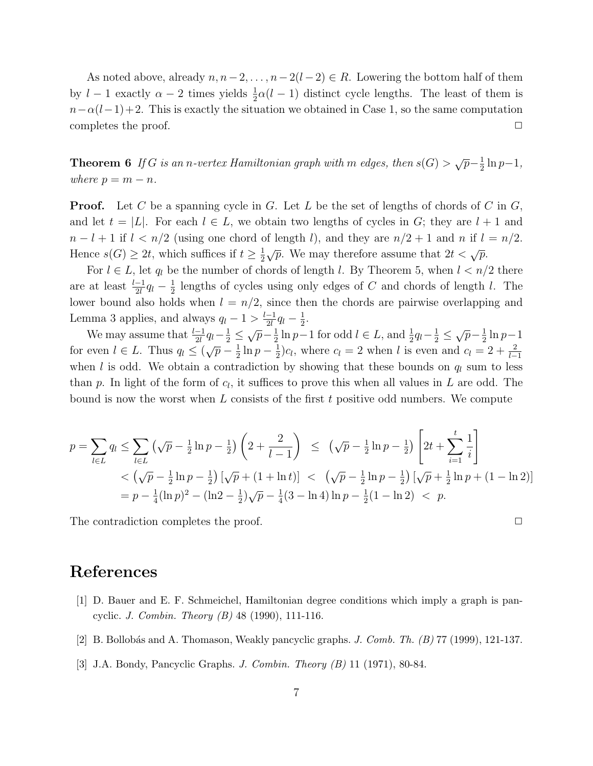As noted above, already  $n, n-2, \ldots, n-2(l-2) \in R$ . Lowering the bottom half of them by  $l-1$  exactly  $\alpha-2$  times yields  $\frac{1}{2}\alpha(l-1)$  distinct cycle lengths. The least of them is  $n-\alpha(l-1)+2$ . This is exactly the situation we obtained in Case 1, so the same computation completes the proof.  $\Box$ 

**Theorem 6** If G is an n-vertex Hamiltonian graph with m edges, then  $s(G) > \sqrt{p} - \frac{1}{2}$  $rac{1}{2}\ln p-1,$ where  $p = m - n$ .

**Proof.** Let C be a spanning cycle in G. Let L be the set of lengths of chords of C in  $G$ , and let  $t = |L|$ . For each  $l \in L$ , we obtain two lengths of cycles in G; they are  $l + 1$  and  $n - l + 1$  if  $l < n/2$  (using one chord of length l), and they are  $n/2 + 1$  and n if  $l = n/2$ . Hence  $s(G) \geq 2t$ , which suffices if  $t \geq \frac{1}{2}$  $\frac{1}{2}\sqrt{p}$ . We may therefore assume that  $2t < \sqrt{p}$ .

For  $l \in L$ , let  $q_l$  be the number of chords of length l. By Theorem 5, when  $l < n/2$  there are at least  $\frac{l-1}{2l}q_l-\frac{1}{2}$  $\frac{1}{2}$  lengths of cycles using only edges of C and chords of length l. The lower bound also holds when  $l = n/2$ , since then the chords are pairwise overlapping and Lemma 3 applies, and always  $q_l - 1 > \frac{l-1}{2l}$  $\frac{-1}{2l}q_l-\frac{1}{2}$  $rac{1}{2}$ .

We may assume that  $\frac{l-1}{2l}q_l-\frac{1}{2} \leq \sqrt{p}-\frac{1}{2}$  $\frac{1}{2} \ln p - 1$  for odd  $l \in L$ , and  $\frac{1}{2} q_l - \frac{1}{2} \leq \sqrt{p} - \frac{1}{2}$  $rac{1}{2}$  ln  $p-1$ for even  $l \in L$ . Thus  $q_l \leq (\sqrt{p} - \frac{1}{2})$  $rac{1}{2}\ln p-\frac{1}{2}$  $\frac{1}{2}$ ) $c_l$ , where  $c_l = 2$  when l is even and  $c_l = 2 + \frac{2}{l-1}$ when l is odd. We obtain a contradiction by showing that these bounds on  $q_l$  sum to less than p. In light of the form of  $c_l$ , it suffices to prove this when all values in L are odd. The bound is now the worst when  $L$  consists of the first  $t$  positive odd numbers. We compute

$$
p = \sum_{l \in L} q_l \le \sum_{l \in L} \left( \sqrt{p} - \frac{1}{2} \ln p - \frac{1}{2} \right) \left( 2 + \frac{2}{l - 1} \right) \le \left( \sqrt{p} - \frac{1}{2} \ln p - \frac{1}{2} \right) \left[ 2t + \sum_{i=1}^t \frac{1}{i} \right]
$$
  

$$
< \left( \sqrt{p} - \frac{1}{2} \ln p - \frac{1}{2} \right) \left[ \sqrt{p} + (1 + \ln t) \right] < \left( \sqrt{p} - \frac{1}{2} \ln p - \frac{1}{2} \right) \left[ \sqrt{p} + \frac{1}{2} \ln p + (1 - \ln 2) \right]
$$
  

$$
= p - \frac{1}{4} (\ln p)^2 - (\ln 2 - \frac{1}{2}) \sqrt{p} - \frac{1}{4} (3 - \ln 4) \ln p - \frac{1}{2} (1 - \ln 2) < p.
$$

The contradiction completes the proof.  $\Box$ 

References

- [1] D. Bauer and E. F. Schmeichel, Hamiltonian degree conditions which imply a graph is pancyclic. *J. Combin. Theory (B)* 48 (1990), 111-116.
- [2] B. Bollobás and A. Thomason, Weakly pancyclic graphs. *J. Comb. Th.*  $(B)$  77 (1999), 121-137.
- [3] J.A. Bondy, Pancyclic Graphs. J. Combin. Theory (B) 11 (1971), 80-84.